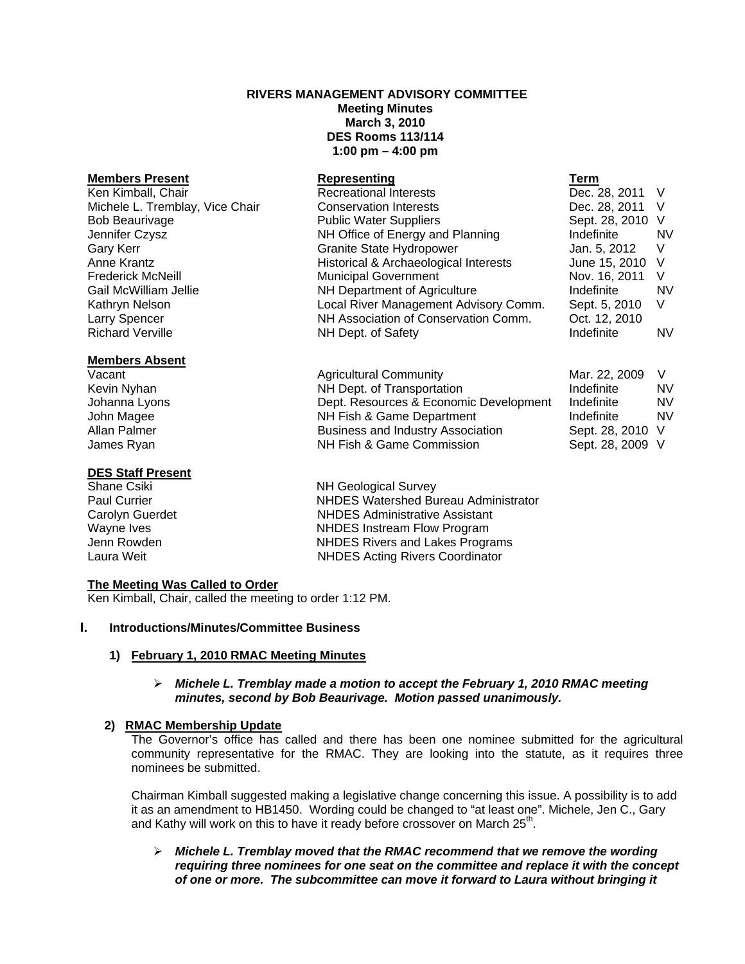# **RIVERS MANAGEMENT ADVISORY COMMITTEE**

**Meeting Minutes March 3, 2010 DES Rooms 113/114 1:00 pm – 4:00 pm** 

| <b>Members Present</b>          | Representing                          | Term             |           |
|---------------------------------|---------------------------------------|------------------|-----------|
| Ken Kimball, Chair              | <b>Recreational Interests</b>         | Dec. 28, 2011 V  |           |
| Michele L. Tremblay, Vice Chair | <b>Conservation Interests</b>         | Dec. 28, 2011 V  |           |
| <b>Bob Beaurivage</b>           | <b>Public Water Suppliers</b>         | Sept. 28, 2010 V |           |
| Jennifer Czysz                  | NH Office of Energy and Planning      | Indefinite       | <b>NV</b> |
| <b>Gary Kerr</b>                | Granite State Hydropower              | Jan. 5, 2012     | V         |
| Anne Krantz                     | Historical & Archaeological Interests | June 15, 2010 V  |           |
| <b>Frederick McNeill</b>        | <b>Municipal Government</b>           | Nov. 16, 2011    | - V       |
| Gail McWilliam Jellie           | NH Department of Agriculture          | Indefinite       | <b>NV</b> |
| Kathryn Nelson                  | Local River Management Advisory Comm. | Sept. 5, 2010    | V         |
| <b>Larry Spencer</b>            | NH Association of Conservation Comm.  | Oct. 12, 2010    |           |
| <b>Richard Verville</b>         | NH Dept. of Safety                    | Indefinite       | NV.       |
| <b>Members Absent</b>           |                                       |                  |           |
| Vacant                          | <b>Agricultural Community</b>         | Mar. 22, 2009    |           |

Kevin Nyhan **NH Dept.** of Transportation **NH Dept.** of Transportation **Indefinite** NV Johanna Lyons Dept. Resources & Economic Development Indefinite NV John Magee **NH Fish & Game Department** Indefinite NV Allan Palmer **Business and Industry Association** Sept. 28, 2010 V James Ryan NH Fish & Game Commission Sept. 28, 2009 V

## **DES Staff Present**

# **The Meeting Was Called to Order**

Ken Kimball, Chair, called the meeting to order 1:12 PM.

#### **I. Introductions/Minutes/Committee Business**

#### **1) February 1, 2010 RMAC Meeting Minutes**

### ¾ *Michele L. Tremblay made a motion to accept the February 1, 2010 RMAC meeting minutes, second by Bob Beaurivage. Motion passed unanimously.*

# **2) RMAC Membership Update**

The Governor's office has called and there has been one nominee submitted for the agricultural community representative for the RMAC. They are looking into the statute, as it requires three nominees be submitted.

Chairman Kimball suggested making a legislative change concerning this issue. A possibility is to add it as an amendment to HB1450. Wording could be changed to "at least one". Michele, Jen C., Gary and Kathy will work on this to have it ready before crossover on March  $25<sup>th</sup>$ .

¾ *Michele L. Tremblay moved that the RMAC recommend that we remove the wording requiring three nominees for one seat on the committee and replace it with the concept of one or more. The subcommittee can move it forward to Laura without bringing it* 

Shane Csiki **NH Geological Survey**<br>
Paul Currier **NHDES** Watershed Bu **NHDES Watershed Bureau Administrator** Carolyn Guerdet **NHDES** Administrative Assistant Wayne Ives **NHDES** Instream Flow Program<br>
Unit Roman Powden<br>
Unit NHDES Rivers and Lakes Program NHDES Rivers and Lakes Programs Laura Weit **NHDES** Acting Rivers Coordinator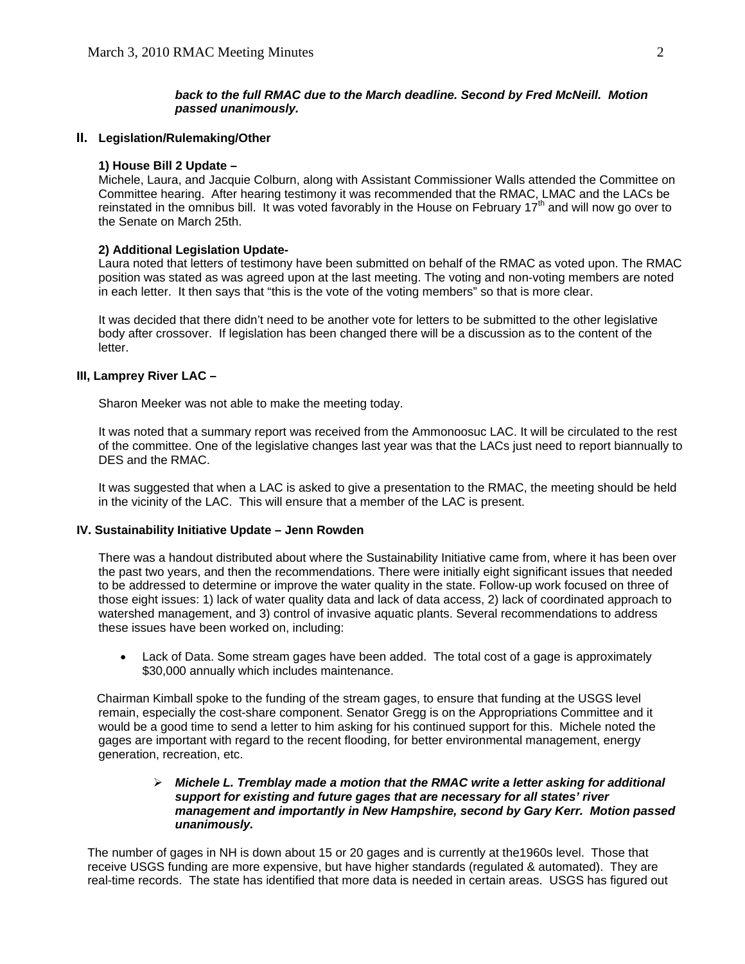# *back to the full RMAC due to the March deadline. Second by Fred McNeill. Motion passed unanimously.*

## **II. Legislation/Rulemaking/Other**

### **1) House Bill 2 Update –**

Michele, Laura, and Jacquie Colburn, along with Assistant Commissioner Walls attended the Committee on Committee hearing. After hearing testimony it was recommended that the RMAC, LMAC and the LACs be reinstated in the omnibus bill. It was voted favorably in the House on February 17<sup>th</sup> and will now go over to the Senate on March 25th.

### **2) Additional Legislation Update-**

Laura noted that letters of testimony have been submitted on behalf of the RMAC as voted upon. The RMAC position was stated as was agreed upon at the last meeting. The voting and non-voting members are noted in each letter. It then says that "this is the vote of the voting members" so that is more clear.

It was decided that there didn't need to be another vote for letters to be submitted to the other legislative body after crossover. If legislation has been changed there will be a discussion as to the content of the letter.

### **III, Lamprey River LAC –**

Sharon Meeker was not able to make the meeting today.

 It was noted that a summary report was received from the Ammonoosuc LAC. It will be circulated to the rest of the committee. One of the legislative changes last year was that the LACs just need to report biannually to DES and the RMAC.

 It was suggested that when a LAC is asked to give a presentation to the RMAC, the meeting should be held in the vicinity of the LAC. This will ensure that a member of the LAC is present.

#### **IV. Sustainability Initiative Update – Jenn Rowden**

There was a handout distributed about where the Sustainability Initiative came from, where it has been over the past two years, and then the recommendations. There were initially eight significant issues that needed to be addressed to determine or improve the water quality in the state. Follow-up work focused on three of those eight issues: 1) lack of water quality data and lack of data access, 2) lack of coordinated approach to watershed management, and 3) control of invasive aquatic plants. Several recommendations to address these issues have been worked on, including:

• Lack of Data. Some stream gages have been added. The total cost of a gage is approximately \$30,000 annually which includes maintenance.

Chairman Kimball spoke to the funding of the stream gages, to ensure that funding at the USGS level remain, especially the cost-share component. Senator Gregg is on the Appropriations Committee and it would be a good time to send a letter to him asking for his continued support for this. Michele noted the gages are important with regard to the recent flooding, for better environmental management, energy generation, recreation, etc.

## ¾ *Michele L. Tremblay made a motion that the RMAC write a letter asking for additional support for existing and future gages that are necessary for all states' river management and importantly in New Hampshire, second by Gary Kerr. Motion passed unanimously.*

The number of gages in NH is down about 15 or 20 gages and is currently at the1960s level. Those that receive USGS funding are more expensive, but have higher standards (regulated & automated). They are real-time records. The state has identified that more data is needed in certain areas. USGS has figured out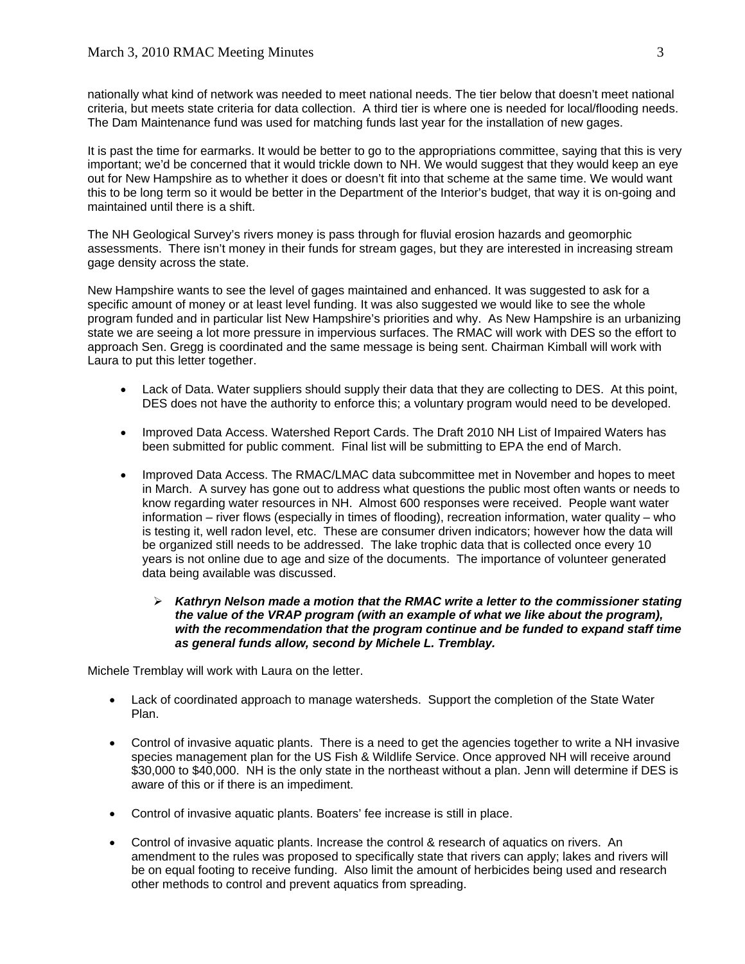nationally what kind of network was needed to meet national needs. The tier below that doesn't meet national criteria, but meets state criteria for data collection. A third tier is where one is needed for local/flooding needs. The Dam Maintenance fund was used for matching funds last year for the installation of new gages.

It is past the time for earmarks. It would be better to go to the appropriations committee, saying that this is very important; we'd be concerned that it would trickle down to NH. We would suggest that they would keep an eye out for New Hampshire as to whether it does or doesn't fit into that scheme at the same time. We would want this to be long term so it would be better in the Department of the Interior's budget, that way it is on-going and maintained until there is a shift.

The NH Geological Survey's rivers money is pass through for fluvial erosion hazards and geomorphic assessments. There isn't money in their funds for stream gages, but they are interested in increasing stream gage density across the state.

New Hampshire wants to see the level of gages maintained and enhanced. It was suggested to ask for a specific amount of money or at least level funding. It was also suggested we would like to see the whole program funded and in particular list New Hampshire's priorities and why. As New Hampshire is an urbanizing state we are seeing a lot more pressure in impervious surfaces. The RMAC will work with DES so the effort to approach Sen. Gregg is coordinated and the same message is being sent. Chairman Kimball will work with Laura to put this letter together.

- Lack of Data. Water suppliers should supply their data that they are collecting to DES. At this point, DES does not have the authority to enforce this; a voluntary program would need to be developed.
- Improved Data Access. Watershed Report Cards. The Draft 2010 NH List of Impaired Waters has been submitted for public comment. Final list will be submitting to EPA the end of March.
- Improved Data Access. The RMAC/LMAC data subcommittee met in November and hopes to meet in March. A survey has gone out to address what questions the public most often wants or needs to know regarding water resources in NH. Almost 600 responses were received. People want water information – river flows (especially in times of flooding), recreation information, water quality – who is testing it, well radon level, etc. These are consumer driven indicators; however how the data will be organized still needs to be addressed. The lake trophic data that is collected once every 10 years is not online due to age and size of the documents. The importance of volunteer generated data being available was discussed.

## ¾ *Kathryn Nelson made a motion that the RMAC write a letter to the commissioner stating the value of the VRAP program (with an example of what we like about the program), with the recommendation that the program continue and be funded to expand staff time as general funds allow, second by Michele L. Tremblay.*

Michele Tremblay will work with Laura on the letter.

- Lack of coordinated approach to manage watersheds. Support the completion of the State Water Plan.
- Control of invasive aquatic plants. There is a need to get the agencies together to write a NH invasive species management plan for the US Fish & Wildlife Service. Once approved NH will receive around \$30,000 to \$40,000. NH is the only state in the northeast without a plan. Jenn will determine if DES is aware of this or if there is an impediment.
- Control of invasive aquatic plants. Boaters' fee increase is still in place.
- Control of invasive aquatic plants. Increase the control & research of aquatics on rivers. An amendment to the rules was proposed to specifically state that rivers can apply; lakes and rivers will be on equal footing to receive funding. Also limit the amount of herbicides being used and research other methods to control and prevent aquatics from spreading.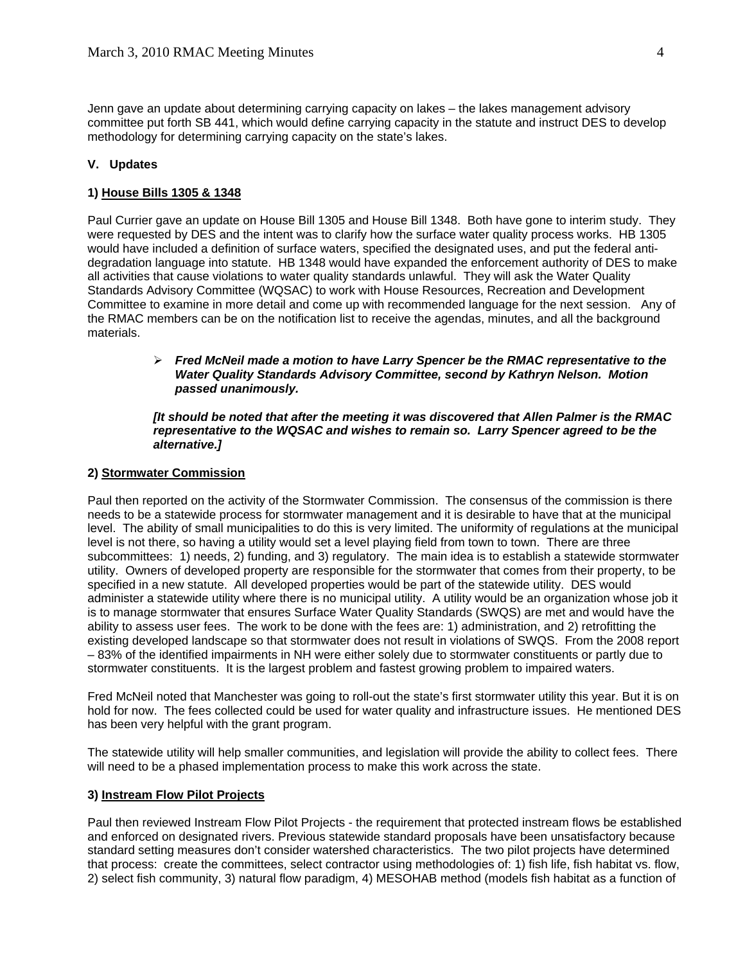Jenn gave an update about determining carrying capacity on lakes – the lakes management advisory committee put forth SB 441, which would define carrying capacity in the statute and instruct DES to develop methodology for determining carrying capacity on the state's lakes.

# **V. Updates**

# **1) House Bills 1305 & 1348**

Paul Currier gave an update on House Bill 1305 and House Bill 1348. Both have gone to interim study. They were requested by DES and the intent was to clarify how the surface water quality process works. HB 1305 would have included a definition of surface waters, specified the designated uses, and put the federal antidegradation language into statute. HB 1348 would have expanded the enforcement authority of DES to make all activities that cause violations to water quality standards unlawful. They will ask the Water Quality Standards Advisory Committee (WQSAC) to work with House Resources, Recreation and Development Committee to examine in more detail and come up with recommended language for the next session. Any of the RMAC members can be on the notification list to receive the agendas, minutes, and all the background materials.

# ¾ *Fred McNeil made a motion to have Larry Spencer be the RMAC representative to the Water Quality Standards Advisory Committee, second by Kathryn Nelson. Motion passed unanimously.*

## *[It should be noted that after the meeting it was discovered that Allen Palmer is the RMAC representative to the WQSAC and wishes to remain so. Larry Spencer agreed to be the alternative.]*

## **2) Stormwater Commission**

Paul then reported on the activity of the Stormwater Commission. The consensus of the commission is there needs to be a statewide process for stormwater management and it is desirable to have that at the municipal level. The ability of small municipalities to do this is very limited. The uniformity of regulations at the municipal level is not there, so having a utility would set a level playing field from town to town. There are three subcommittees: 1) needs, 2) funding, and 3) regulatory. The main idea is to establish a statewide stormwater utility. Owners of developed property are responsible for the stormwater that comes from their property, to be specified in a new statute. All developed properties would be part of the statewide utility. DES would administer a statewide utility where there is no municipal utility. A utility would be an organization whose job it is to manage stormwater that ensures Surface Water Quality Standards (SWQS) are met and would have the ability to assess user fees. The work to be done with the fees are: 1) administration, and 2) retrofitting the existing developed landscape so that stormwater does not result in violations of SWQS. From the 2008 report – 83% of the identified impairments in NH were either solely due to stormwater constituents or partly due to stormwater constituents. It is the largest problem and fastest growing problem to impaired waters.

Fred McNeil noted that Manchester was going to roll-out the state's first stormwater utility this year. But it is on hold for now. The fees collected could be used for water quality and infrastructure issues. He mentioned DES has been very helpful with the grant program.

The statewide utility will help smaller communities, and legislation will provide the ability to collect fees. There will need to be a phased implementation process to make this work across the state.

## **3) Instream Flow Pilot Projects**

Paul then reviewed Instream Flow Pilot Projects - the requirement that protected instream flows be established and enforced on designated rivers. Previous statewide standard proposals have been unsatisfactory because standard setting measures don't consider watershed characteristics. The two pilot projects have determined that process: create the committees, select contractor using methodologies of: 1) fish life, fish habitat vs. flow, 2) select fish community, 3) natural flow paradigm, 4) MESOHAB method (models fish habitat as a function of